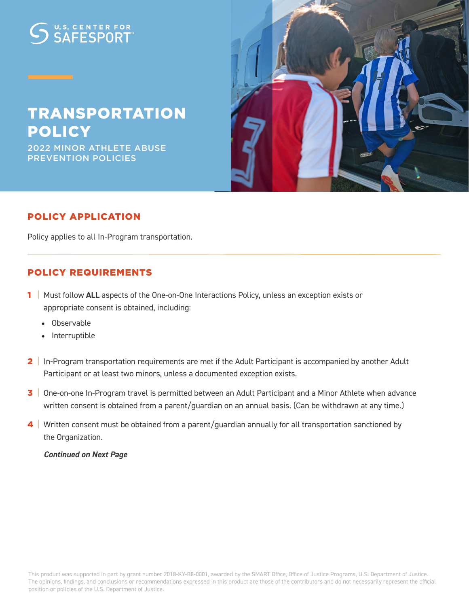# U.S. CENTER FOR

# TRANSPORTATION POLICY

2022 MINOR ATHLETE ABUSE PREVENTION POLICIES



### POLICY APPLICATION

Policy applies to all In-Program transportation.

#### POLICY REQUIREMENTS

- 1 | Must follow **ALL** aspects of the One-on-One Interactions Policy, unless an exception exists or appropriate consent is obtained, including:
	- Observable
	- Interruptible
- 2 | In-Program transportation requirements are met if the Adult Participant is accompanied by another Adult Participant or at least two minors, unless a documented exception exists.
- 3 One-on-one In-Program travel is permitted between an Adult Participant and a Minor Athlete when advance written consent is obtained from a parent/guardian on an annual basis. (Can be withdrawn at any time.)
- 4 | Written consent must be obtained from a parent/guardian annually for all transportation sanctioned by the Organization.

 *Continued on Next Page*